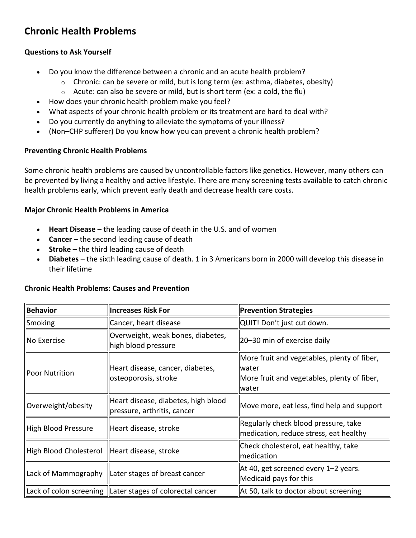# **Chronic Health Problems**

## **Questions to Ask Yourself**

- Do you know the difference between a chronic and an acute health problem?
	- $\circ$  Chronic: can be severe or mild, but is long term (ex: asthma, diabetes, obesity)
	- o Acute: can also be severe or mild, but is short term (ex: a cold, the flu)
- How does your chronic health problem make you feel?
- What aspects of your chronic health problem or its treatment are hard to deal with?
- Do you currently do anything to alleviate the symptoms of your illness?
- (Non–CHP sufferer) Do you know how you can prevent a chronic health problem?

#### **Preventing Chronic Health Problems**

Some chronic health problems are caused by uncontrollable factors like genetics. However, many others can be prevented by living a healthy and active lifestyle. There are many screening tests available to catch chronic health problems early, which prevent early death and decrease health care costs.

#### **Major Chronic Health Problems in America**

- **Heart Disease** the leading cause of death in the U.S. and of women
- **Cancer** the second leading cause of death
- **Stroke** the third leading cause of death
- **Diabetes** the sixth leading cause of death. 1 in 3 Americans born in 2000 will develop this disease in their lifetime

#### **Chronic Health Problems: Causes and Prevention**

| <b>Behavior</b>        | <b>Increases Risk For</b>                                          | <b>Prevention Strategies</b>                                                                                            |
|------------------------|--------------------------------------------------------------------|-------------------------------------------------------------------------------------------------------------------------|
| Smoking                | Cancer, heart disease                                              | QUIT! Don't just cut down.                                                                                              |
| $\ $ No Exercise       | Overweight, weak bones, diabetes,<br>high blood pressure           | 20-30 min of exercise daily                                                                                             |
| Poor Nutrition         | Heart disease, cancer, diabetes,<br>osteoporosis, stroke           | More fruit and vegetables, plenty of fiber,<br><b>I</b> water<br>More fruit and vegetables, plenty of fiber,<br>llwater |
| Overweight/obesity     | Heart disease, diabetes, high blood<br>pressure, arthritis, cancer | Move more, eat less, find help and support                                                                              |
| High Blood Pressure    | Heart disease, stroke                                              | Regularly check blood pressure, take<br>medication, reduce stress, eat healthy                                          |
| High Blood Cholesterol | Heart disease, stroke                                              | Check cholesterol, eat healthy, take<br>Imedication                                                                     |
| Lack of Mammography    | Later stages of breast cancer                                      | At 40, get screened every 1-2 years.<br>Medicaid pays for this                                                          |
|                        | Lack of colon screening   Later stages of colorectal cancer        | At 50, talk to doctor about screening                                                                                   |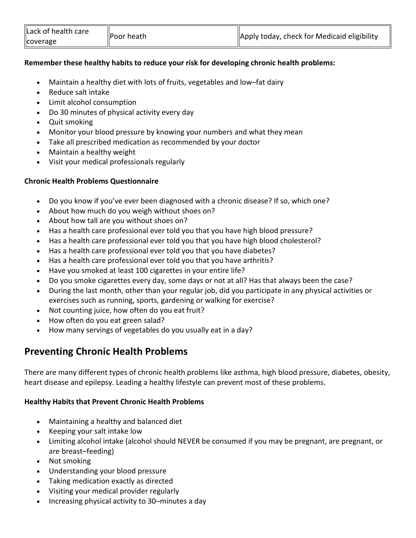#### **Remember these healthy habits to reduce your risk for developing chronic health problems:**

- Maintain a healthy diet with lots of fruits, vegetables and low–fat dairy
- Reduce salt intake
- Limit alcohol consumption
- Do 30 minutes of physical activity every day
- Quit smoking
- Monitor your blood pressure by knowing your numbers and what they mean
- Take all prescribed medication as recommended by your doctor
- Maintain a healthy weight
- Visit your medical professionals regularly

#### **Chronic Health Problems Questionnaire**

- Do you know if you've ever been diagnosed with a chronic disease? If so, which one?
- About how much do you weigh without shoes on?
- About how tall are you without shoes on?
- Has a health care professional ever told you that you have high blood pressure?
- Has a health care professional ever told you that you have high blood cholesterol?
- Has a health care professional ever told you that you have diabetes?
- Has a health care professional ever told you that you have arthritis?
- Have you smoked at least 100 cigarettes in your entire life?
- Do you smoke cigarettes every day, some days or not at all? Has that always been the case?
- During the last month, other than your regular job, did you participate in any physical activities or exercises such as running, sports, gardening or walking for exercise?
- Not counting juice, how often do you eat fruit?
- How often do you eat green salad?
- How many servings of vegetables do you usually eat in a day?

## **Preventing Chronic Health Problems**

There are many different types of chronic health problems like asthma, high blood pressure, diabetes, obesity, heart disease and epilepsy. Leading a healthy lifestyle can prevent most of these problems.

#### **Healthy Habits that Prevent Chronic Health Problems**

- Maintaining a healthy and balanced diet
- Keeping your salt intake low
- Limiting alcohol intake (alcohol should NEVER be consumed if you may be pregnant, are pregnant, or are breast–feeding)
- Not smoking
- Understanding your blood pressure
- Taking medication exactly as directed
- Visiting your medical provider regularly
- Increasing physical activity to 30–minutes a day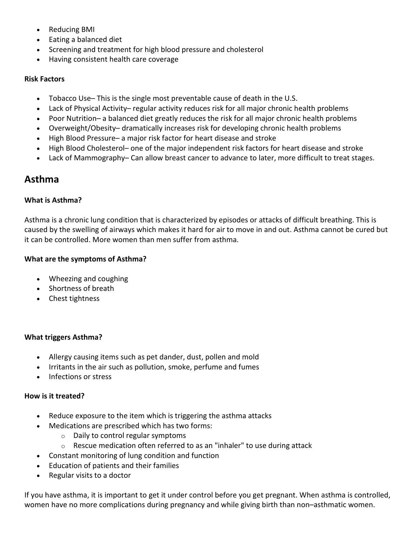- Reducing BMI
- Eating a balanced diet
- Screening and treatment for high blood pressure and cholesterol
- Having consistent health care coverage

#### **Risk Factors**

- Tobacco Use– This is the single most preventable cause of death in the U.S.
- Lack of Physical Activity– regular activity reduces risk for all major chronic health problems
- Poor Nutrition– a balanced diet greatly reduces the risk for all major chronic health problems
- Overweight/Obesity– dramatically increases risk for developing chronic health problems
- High Blood Pressure– a major risk factor for heart disease and stroke
- High Blood Cholesterol– one of the major independent risk factors for heart disease and stroke
- Lack of Mammography– Can allow breast cancer to advance to later, more difficult to treat stages.

## **Asthma**

## **What is Asthma?**

Asthma is a chronic lung condition that is characterized by episodes or attacks of difficult breathing. This is caused by the swelling of airways which makes it hard for air to move in and out. Asthma cannot be cured but it can be controlled. More women than men suffer from asthma.

## **What are the symptoms of Asthma?**

- Wheezing and coughing
- Shortness of breath
- Chest tightness

## **What triggers Asthma?**

- Allergy causing items such as pet dander, dust, pollen and mold
- Irritants in the air such as pollution, smoke, perfume and fumes
- Infections or stress

## **How is it treated?**

- Reduce exposure to the item which is triggering the asthma attacks
- Medications are prescribed which has two forms:
	- $\circ$  Daily to control regular symptoms
	- $\circ$  Rescue medication often referred to as an "inhaler" to use during attack
- Constant monitoring of lung condition and function
- Education of patients and their families
- Regular visits to a doctor

If you have asthma, it is important to get it under control before you get pregnant. When asthma is controlled, women have no more complications during pregnancy and while giving birth than non–asthmatic women.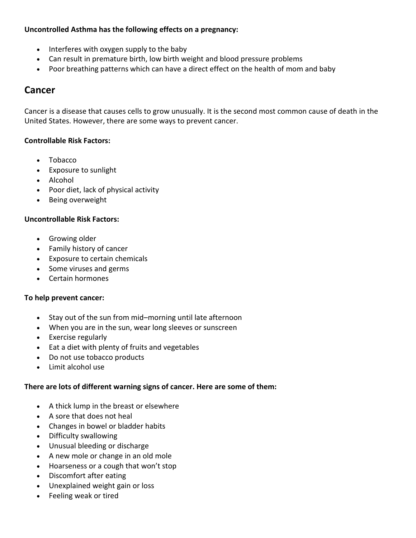## **Uncontrolled Asthma has the following effects on a pregnancy:**

- Interferes with oxygen supply to the baby
- Can result in premature birth, low birth weight and blood pressure problems
- Poor breathing patterns which can have a direct effect on the health of mom and baby

## **Cancer**

Cancer is a disease that causes cells to grow unusually. It is the second most common cause of death in the United States. However, there are some ways to prevent cancer.

#### **Controllable Risk Factors:**

- Tobacco
- Exposure to sunlight
- Alcohol
- Poor diet, lack of physical activity
- Being overweight

#### **Uncontrollable Risk Factors:**

- Growing older
- Family history of cancer
- Exposure to certain chemicals
- Some viruses and germs
- Certain hormones

#### **To help prevent cancer:**

- Stay out of the sun from mid–morning until late afternoon
- When you are in the sun, wear long sleeves or sunscreen
- Exercise regularly
- Eat a diet with plenty of fruits and vegetables
- Do not use tobacco products
- Limit alcohol use

## **There are lots of different warning signs of cancer. Here are some of them:**

- A thick lump in the breast or elsewhere
- A sore that does not heal
- Changes in bowel or bladder habits
- Difficulty swallowing
- Unusual bleeding or discharge
- A new mole or change in an old mole
- Hoarseness or a cough that won't stop
- Discomfort after eating
- Unexplained weight gain or loss
- Feeling weak or tired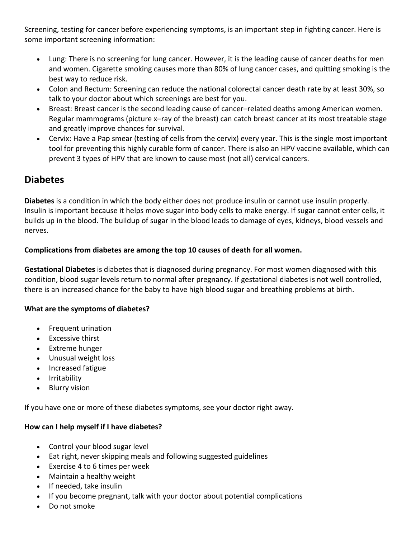Screening, testing for cancer before experiencing symptoms, is an important step in fighting cancer. Here is some important screening information:

- Lung: There is no screening for lung cancer. However, it is the leading cause of cancer deaths for men and women. Cigarette smoking causes more than 80% of lung cancer cases, and quitting smoking is the best way to reduce risk.
- Colon and Rectum: Screening can reduce the national colorectal cancer death rate by at least 30%, so talk to your doctor about which screenings are best for you.
- Breast: Breast cancer is the second leading cause of cancer–related deaths among American women. Regular mammograms (picture x–ray of the breast) can catch breast cancer at its most treatable stage and greatly improve chances for survival.
- Cervix: Have a Pap smear (testing of cells from the cervix) every year. This is the single most important tool for preventing this highly curable form of cancer. There is also an HPV vaccine available, which can prevent 3 types of HPV that are known to cause most (not all) cervical cancers.

## **Diabetes**

**Diabetes** is a condition in which the body either does not produce insulin or cannot use insulin properly. Insulin is important because it helps move sugar into body cells to make energy. If sugar cannot enter cells, it builds up in the blood. The buildup of sugar in the blood leads to damage of eyes, kidneys, blood vessels and nerves.

## **Complications from diabetes are among the top 10 causes of death for all women.**

**Gestational Diabetes** is diabetes that is diagnosed during pregnancy. For most women diagnosed with this condition, blood sugar levels return to normal after pregnancy. If gestational diabetes is not well controlled, there is an increased chance for the baby to have high blood sugar and breathing problems at birth.

## **What are the symptoms of diabetes?**

- Frequent urination
- Excessive thirst
- Extreme hunger
- Unusual weight loss
- Increased fatigue
- Irritability
- Blurry vision

If you have one or more of these diabetes symptoms, see your doctor right away.

## **How can I help myself if I have diabetes?**

- Control your blood sugar level
- Eat right, never skipping meals and following suggested guidelines
- Exercise 4 to 6 times per week
- Maintain a healthy weight
- If needed, take insulin
- If you become pregnant, talk with your doctor about potential complications
- Do not smoke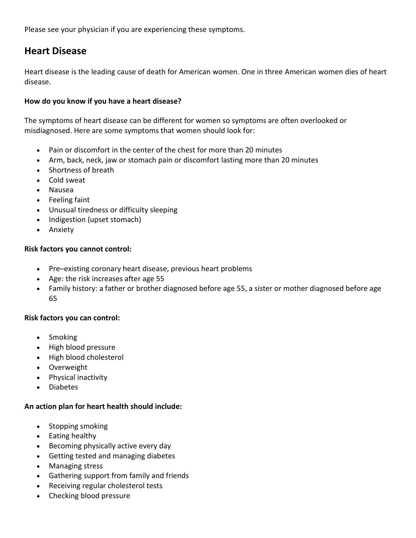Please see your physician if you are experiencing these symptoms.

## **Heart Disease**

Heart disease is the leading cause of death for American women. One in three American women dies of heart disease.

## **How do you know if you have a heart disease?**

The symptoms of heart disease can be different for women so symptoms are often overlooked or misdiagnosed. Here are some symptoms that women should look for:

- Pain or discomfort in the center of the chest for more than 20 minutes
- Arm, back, neck, jaw or stomach pain or discomfort lasting more than 20 minutes
- Shortness of breath
- Cold sweat
- Nausea
- Feeling faint
- Unusual tiredness or difficulty sleeping
- Indigestion (upset stomach)
- Anxiety

#### **Risk factors you cannot control:**

- Pre–existing coronary heart disease, previous heart problems
- Age: the risk increases after age 55
- Family history: a father or brother diagnosed before age 55, a sister or mother diagnosed before age 65

#### **Risk factors you can control:**

- Smoking
- High blood pressure
- High blood cholesterol
- Overweight
- Physical inactivity
- Diabetes

#### **An action plan for heart health should include:**

- Stopping smoking
- Eating healthy
- Becoming physically active every day
- Getting tested and managing diabetes
- Managing stress
- Gathering support from family and friends
- Receiving regular cholesterol tests
- Checking blood pressure